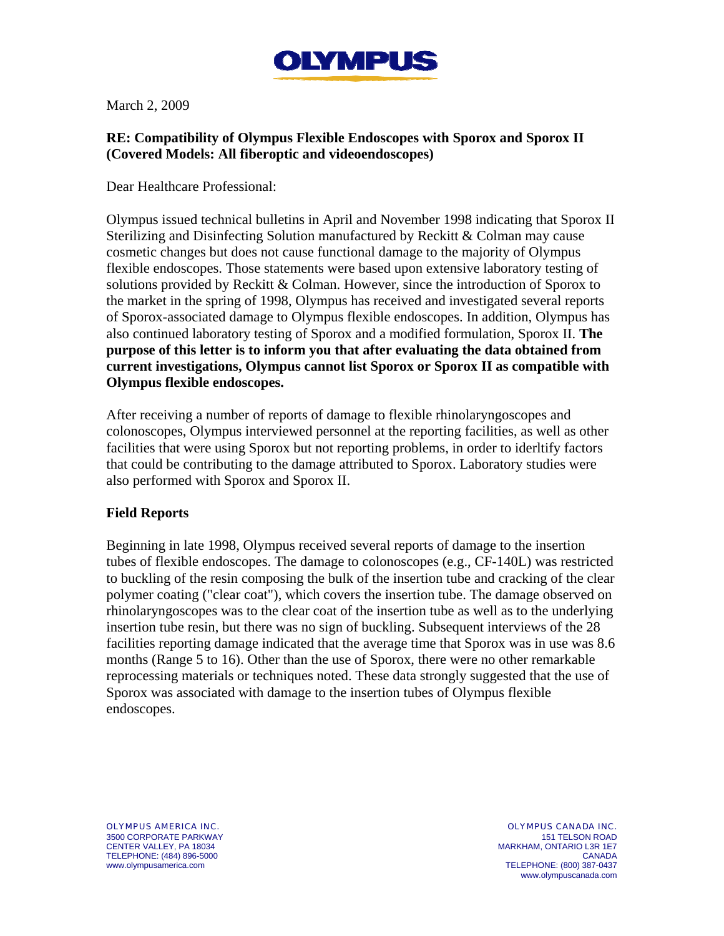

March 2, 2009

## **RE: Compatibility of Olympus Flexible Endoscopes with Sporox and Sporox II (Covered Models: All fiberoptic and videoendoscopes)**

Dear Healthcare Professional:

Olympus issued technical bulletins in April and November 1998 indicating that Sporox II Sterilizing and Disinfecting Solution manufactured by Reckitt & Colman may cause cosmetic changes but does not cause functional damage to the majority of Olympus flexible endoscopes. Those statements were based upon extensive laboratory testing of solutions provided by Reckitt & Colman. However, since the introduction of Sporox to the market in the spring of 1998, Olympus has received and investigated several reports of Sporox-associated damage to Olympus flexible endoscopes. In addition, Olympus has also continued laboratory testing of Sporox and a modified formulation, Sporox II. **The purpose of this letter is to inform you that after evaluating the data obtained from current investigations, Olympus cannot list Sporox or Sporox II as compatible with Olympus flexible endoscopes.** 

After receiving a number of reports of damage to flexible rhinolaryngoscopes and colonoscopes, Olympus interviewed personnel at the reporting facilities, as well as other facilities that were using Sporox but not reporting problems, in order to iderltify factors that could be contributing to the damage attributed to Sporox. Laboratory studies were also performed with Sporox and Sporox II.

## **Field Reports**

Beginning in late 1998, Olympus received several reports of damage to the insertion tubes of flexible endoscopes. The damage to colonoscopes (e.g., CF-140L) was restricted to buckling of the resin composing the bulk of the insertion tube and cracking of the clear polymer coating ("clear coat"), which covers the insertion tube. The damage observed on rhinolaryngoscopes was to the clear coat of the insertion tube as well as to the underlying insertion tube resin, but there was no sign of buckling. Subsequent interviews of the 28 facilities reporting damage indicated that the average time that Sporox was in use was 8.6 months (Range 5 to 16). Other than the use of Sporox, there were no other remarkable reprocessing materials or techniques noted. These data strongly suggested that the use of Sporox was associated with damage to the insertion tubes of Olympus flexible endoscopes.

OLYMPUS AMERICA INC. 3500 CORPORATE PARKWAY CENTER VALLEY, PA 18034 TELEPHONE: (484) 896-5000 www.olympusamerica.com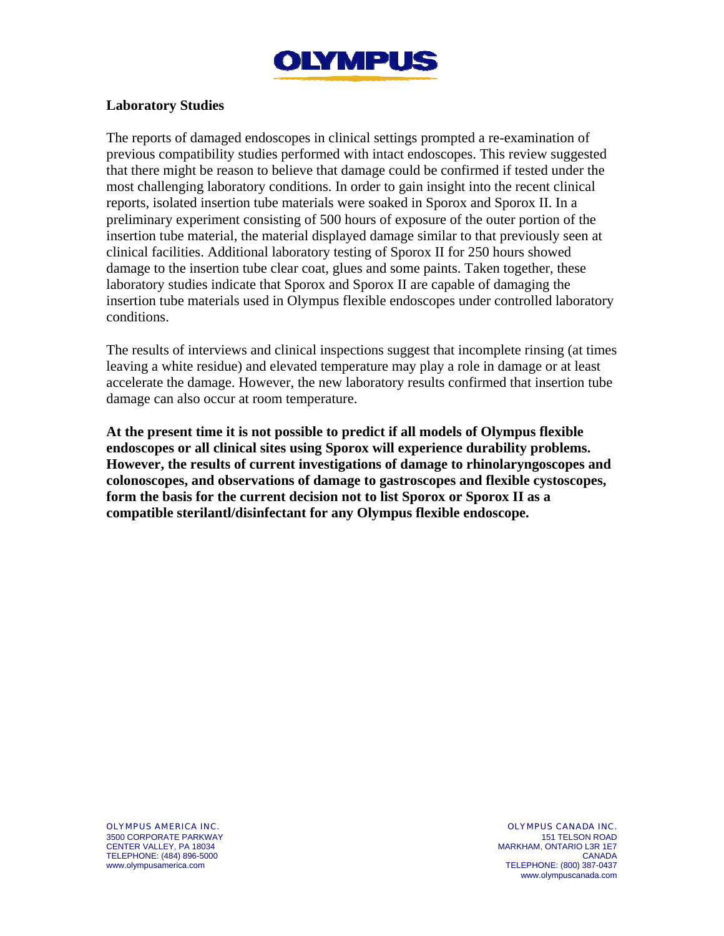

## **Laboratory Studies**

The reports of damaged endoscopes in clinical settings prompted a re-examination of previous compatibility studies performed with intact endoscopes. This review suggested that there might be reason to believe that damage could be confirmed if tested under the most challenging laboratory conditions. In order to gain insight into the recent clinical reports, isolated insertion tube materials were soaked in Sporox and Sporox II. In a preliminary experiment consisting of 500 hours of exposure of the outer portion of the insertion tube material, the material displayed damage similar to that previously seen at clinical facilities. Additional laboratory testing of Sporox II for 250 hours showed damage to the insertion tube clear coat, glues and some paints. Taken together, these laboratory studies indicate that Sporox and Sporox II are capable of damaging the insertion tube materials used in Olympus flexible endoscopes under controlled laboratory conditions.

The results of interviews and clinical inspections suggest that incomplete rinsing (at times leaving a white residue) and elevated temperature may play a role in damage or at least accelerate the damage. However, the new laboratory results confirmed that insertion tube damage can also occur at room temperature.

**At the present time it is not possible to predict if all models of Olympus flexible endoscopes or all clinical sites using Sporox will experience durability problems. However, the results of current investigations of damage to rhinolaryngoscopes and colonoscopes, and observations of damage to gastroscopes and flexible cystoscopes, form the basis for the current decision not to list Sporox or Sporox II as a compatible sterilantl/disinfectant for any Olympus flexible endoscope.** 

OLYMPUS AMERICA INC. 3500 CORPORATE PARKWAY CENTER VALLEY, PA 18034 TELEPHONE: (484) 896-5000 www.olympusamerica.com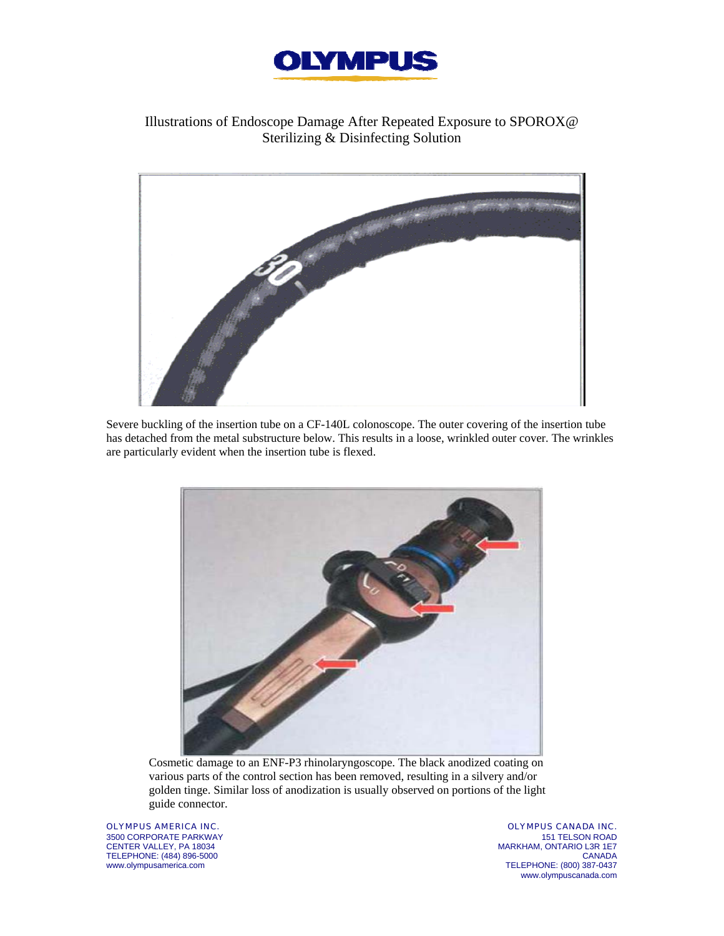

## Illustrations of Endoscope Damage After Repeated Exposure to SPOROX@ Sterilizing & Disinfecting Solution



Severe buckling of the insertion tube on a CF-140L colonoscope. The outer covering of the insertion tube has detached from the metal substructure below. This results in a loose, wrinkled outer cover. The wrinkles are particularly evident when the insertion tube is flexed.



Cosmetic damage to an ENF-P3 rhinolaryngoscope. The black anodized coating on various parts of the control section has been removed, resulting in a silvery and/or golden tinge. Similar loss of anodization is usually observed on portions of the light guide connector.

OLYMPUS AMERICA INC. 3500 CORPORATE PARKWAY CENTER VALLEY, PA 18034 TELEPHONE: (484) 896-5000 www.olympusamerica.com

OLYMPUS CANADA INC. 151 TELSON ROAD MARKHAM, ONTARIO L3R 1E7 CANADA TELEPHONE: (800) 387-0437 www.olympuscanada.com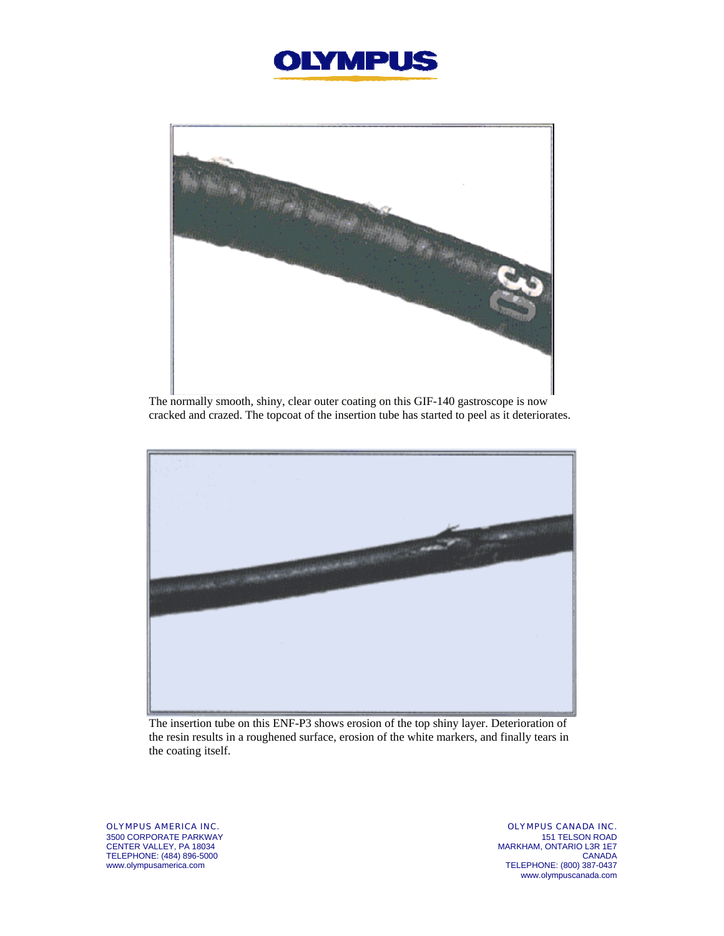



The normally smooth, shiny, clear outer coating on this GIF-140 gastroscope is now cracked and crazed. The topcoat of the insertion tube has started to peel as it deteriorates.



The insertion tube on this ENF-P3 shows erosion of the top shiny layer. Deterioration of the resin results in a roughened surface, erosion of the white markers, and finally tears in the coating itself.

OLYMPUS AMERICA INC. 3500 CORPORATE PARKWAY CENTER VALLEY, PA 18034 TELEPHONE: (484) 896-5000 www.olympusamerica.com